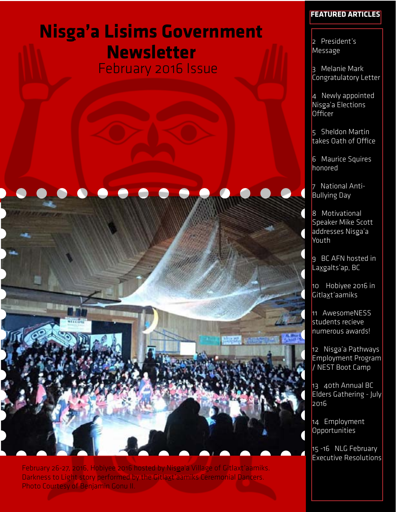# **Nisga'a Lisims Government Newsletter**  February 2016 Issue





February 26-27, 2016, Hobiyee 2016 hosted by Nisga'a Village of Gitlaxt'aamiks. Darkness to Light story performed by the Gitlaxt'aamiks Ceremonial Dancers. Photo Courtesy of Benjamin Gonu II.

### **Featured Articles**

2 President's Message

3 Melanie Mark Congratulatory Letter

4 Newly appointed Nisga'a Elections Officer

5 Sheldon Martin takes Oath of Office

6 Maurice Squires honored

7 National Anti-Bullying Day

8 Motivational Speaker Mike Scott addresses Nisga'a Youth

9 BC AFN hosted in Laxgalts'ap, BC

10 Hobiyee 2016 in Gitlaxt'aamiks

11 AwesomeNESS students recieve numerous awards!

12 Nisga'a Pathways Employment Program / NEST Boot Camp

13 40th Annual BC Elders Gathering - July 2016

14 Employment **Opportunities** 

15 -16 NLG February Executive Resolutions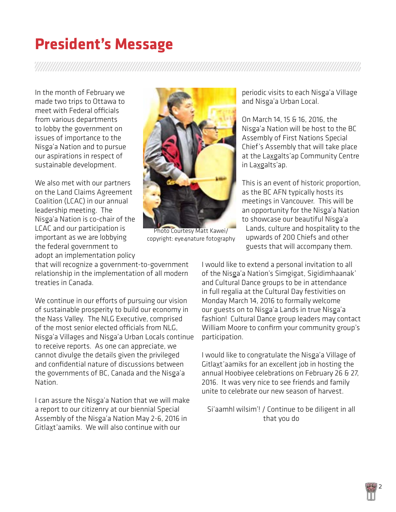# **President's Message**

In the month of February we made two trips to Ottawa to meet with Federal officials from various departments to lobby the government on issues of importance to the Nisga'a Nation and to pursue our aspirations in respect of sustainable development.

We also met with our partners on the Land Claims Agreement Coalition (LCAC) in our annual leadership meeting. The Nisga'a Nation is co-chair of the LCAC and our participation is important as we are lobbying the federal government to adopt an implementation policy



Photo Courtesy Matt Kawei/ copyright: eye4nature fotography

periodic visits to each Nisga'a Village and Nisga'a Urban Local.

On March 14, 15 & 16, 2016, the Nisga'a Nation will be host to the BC Assembly of First Nations Special Chief's Assembly that will take place at the Laxgalts'ap Community Centre in Laxgalts'ap.

This is an event of historic proportion, as the BC AFN typically hosts its meetings in Vancouver. This will be an opportunity for the Nisga'a Nation to showcase our beautiful Nisga'a Lands, culture and hospitality to the upwards of 200 Chiefs and other guests that will accompany them.

that will recognize a government-to-government relationship in the implementation of all modern treaties in Canada.

We continue in our efforts of pursuing our vision of sustainable prosperity to build our economy in the Nass Valley. The NLG Executive, comprised of the most senior elected officials from NLG, Nisga'a Villages and Nisga'a Urban Locals continue to receive reports. As one can appreciate, we cannot divulge the details given the privileged and confidential nature of discussions between the governments of BC, Canada and the Nisga'a Nation.

I can assure the Nisga'a Nation that we will make a report to our citizenry at our biennial Special Assembly of the Nisga'a Nation May 2-6, 2016 in Gitlaxt'aamiks. We will also continue with our

I would like to extend a personal invitation to all of the Nisga'a Nation's Simgigat, Sigidimhaanak' and Cultural Dance groups to be in attendance in full regalia at the Cultural Day festivities on Monday March 14, 2016 to formally welcome our guests on to Nisga'a Lands in true Nisga'a fashion! Cultural Dance group leaders may contact William Moore to confirm your community group's participation.

I would like to congratulate the Nisga'a Village of Gitlaxt'aamiks for an excellent job in hosting the annual Hoobiyee celebrations on February 26 & 27, 2016. It was very nice to see friends and family unite to celebrate our new season of harvest.

Si'aamhl wilsim'! / Continue to be diligent in all that you do

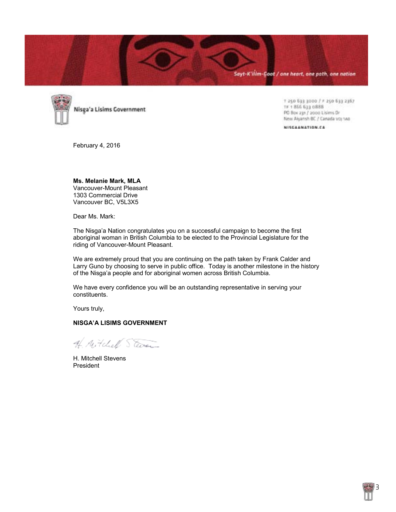



Nisga'a Lisims Government

+ 250 633 3000 / F 250 633 2367 TF 1 866 633 0888 PO Box 231 / 2000 Lisims Dr New Alyansh BC / Canada voj 140

NISCAANATION.CA

February 4, 2016

**Ms. Melanie Mark, MLA** Vancouver-Mount Pleasant 1303 Commercial Drive Vancouver BC, V5L3X5

Dear Ms. Mark:

The Nisga'a Nation congratulates you on a successful campaign to become the first aboriginal woman in British Columbia to be elected to the Provincial Legislature for the riding of Vancouver-Mount Pleasant.

We are extremely proud that you are continuing on the path taken by Frank Calder and Larry Guno by choosing to serve in public office. Today is another milestone in the history of the Nisga'a people and for aboriginal women across British Columbia.

We have every confidence you will be an outstanding representative in serving your constituents.

Yours truly,

#### **NISGA'A LISIMS GOVERNMENT**

A. Mitchell Steven

H. Mitchell Stevens President

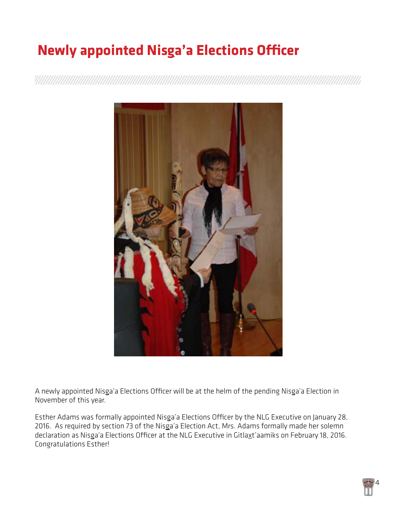# **Newly appointed Nisga'a Elections Officer**



A newly appointed Nisga'a Elections Officer will be at the helm of the pending Nisga'a Election in November of this year.

Esther Adams was formally appointed Nisga'a Elections Officer by the NLG Executive on January 28, 2016. As required by section 73 of the [Nisga'a Election Act,](http://www.nisgaanation.ca/sites/default/files/legislation/Nisga%27a%20Elections%20Act%20-%20Unofficial%20Consolidation%20to%20November%2028%202013%20-%20Final%20%28AR%29.pdf) Mrs. Adams formally made her solemn declaration as Nisga'a Elections Officer at the NLG Executive in Gitlaxt'aamiks on February 18, 2016. Congratulations Esther!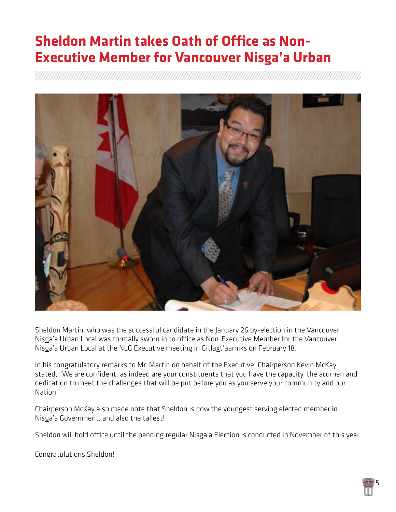## **Sheldon Martin takes Oath of Office as Non-Executive Member for Vancouver Nisga'a Urban**



Sheldon Martin, who was the successful candidate in the [January 26 by-election](http://www.nisgaanation.ca/news/notice-official-results-non-executive-member-vancouver-nisgaa-urban-local) in the Vancouver Nisga'a Urban Local was formally sworn in to office as Non-Executive Member for the Vancouver Nisga'a Urban Local at the NLG Executive meeting in Gitlaxt'aamiks on February 18.

In his congratulatory remarks to Mr. Martin on behalf of the Executive, Chairperson Kevin McKay stated, "We are confident, as indeed are your constituents that you have the capacity, the acumen and dedication to meet the challenges that will be put before you as you serve your community and our Nation."

Chairperson McKay also made note that Sheldon is now the youngest serving elected member in Nisga'a Government, and also the tallest!

Sheldon will hold office until the pending regular Nisga'a Election is conducted in November of this year.

Congratulations Sheldon!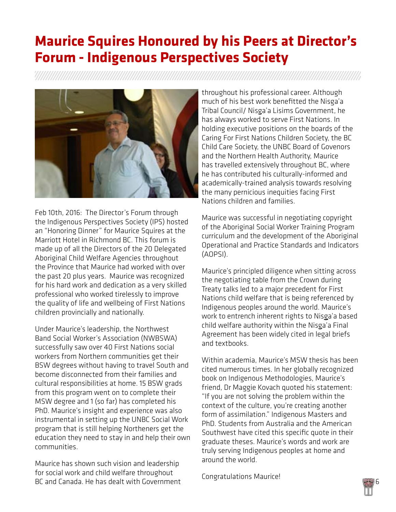## **Maurice Squires Honoured by his Peers at Director's Forum - Indigenous Perspectives Society**



Feb 10th, 2016: The Director's Forum through the Indigenous Perspectives Society (IPS) hosted an "Honoring Dinner" for Maurice Squires at the Marriott Hotel in Richmond BC. This forum is made up of all the Directors of the 20 Delegated Aboriginal Child Welfare Agencies throughout the Province that Maurice had worked with over the past 20 plus years. Maurice was recognized for his hard work and dedication as a very skilled professional who worked tirelessly to improve the quality of life and wellbeing of First Nations children provincially and nationally.

Under Maurice's leadership, the Northwest Band Social Worker's Association (NWBSWA) successfully saw over 40 First Nations social workers from Northern communities get their BSW degrees without having to travel South and become disconnected from their families and cultural responsibilities at home. 15 BSW grads from this program went on to complete their MSW degree and 1 (so far) has completed his PhD. Maurice's insight and experience was also instrumental in setting up the UNBC Social Work program that is still helping Northeners get the education they need to stay in and help their own communities.

Maurice has shown such vision and leadership for social work and child welfare throughout BC and Canada. He has dealt with Government

throughout his professional career. Although much of his best work benefitted the Nisga'a Tribal Council/ Nisga'a Lisims Government, he has always worked to serve First Nations. In holding executive positions on the boards of the Caring For First Nations Children Society, the BC Child Care Society, the UNBC Board of Govenors and the Northern Health Authority, Maurice has travelled extensively throughout BC, where he has contributed his culturally-informed and academically-trained analysis towards resolving the many pernicious inequities facing First Nations children and families.

Maurice was successful in negotiating copyright of the Aboriginal Social Worker Training Program curriculum and the development of the Aboriginal Operational and Practice Standards and Indicators (AOPSI).

Maurice's principled diligence when sitting across the negotiating table from the Crown during Treaty talks led to a major precedent for First Nations child welfare that is being referenced by Indigenous peoples around the world. Maurice's work to entrench inherent rights to Nisga'a based child welfare authority within the Nisga'a Final Agreement has been widely cited in legal briefs and textbooks.

Within academia, Maurice's MSW thesis has been cited numerous times. In her globally recognized book on Indigenous Methodologies, Maurice's friend, Dr Maggie Kovach quoted his statement: "If you are not solving the problem within the context of the culture, you're creating another form of assimilation." Indigenous Masters and PhD. Students from Australia and the American Southwest have cited this specific quote in their graduate theses. Maurice's words and work are truly serving Indigenous peoples at home and around the world.

Congratulations Maurice!

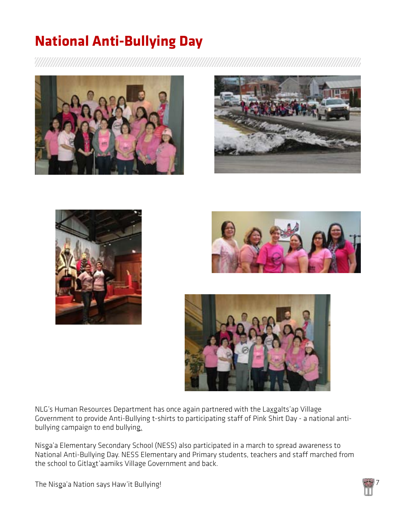# **National Anti-Bullying Day**











NLG's Human Resources Department has once again partnered with the Laxgalts'ap Village Government to provide Anti-Bullying t-shirts to participating staff of [Pink Shirt Day](http://pinkshirtday.ca/) - a national antibullying campaign to end bullying.

Nisga'a Elementary Secondary School (NESS) also participated in a march to spread awareness to National Anti-Bullying Day. NESS Elementary and Primary students, teachers and staff marched from the school to Gitlaxt'aamiks Village Government and back.

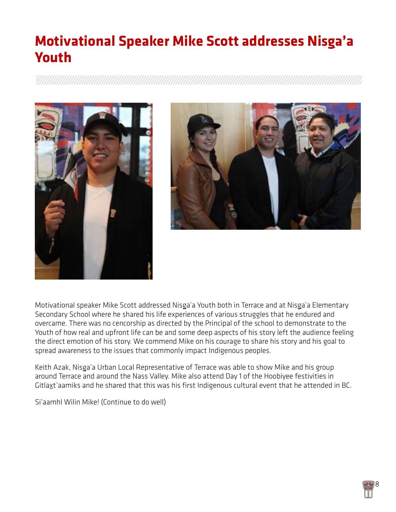## **Motivational Speaker Mike Scott addresses Nisga'a Youth**





Motivational speaker Mike Scott addressed Nisga'a Youth both in Terrace and at Nisga'a Elementary Secondary School where he shared his life experiences of various struggles that he endured and overcame. There was no cencorship as directed by the Principal of the school to demonstrate to the Youth of how real and upfront life can be and some deep aspects of his story left the audience feeling the direct emotion of his story. We commend Mike on his courage to share his story and his goal to spread awareness to the issues that commonly impact Indigenous peoples.

Keith Azak, Nisga'a Urban Local Representative of Terrace was able to show Mike and his group around Terrace and around the Nass Valley. Mike also attend Day 1 of the Hoobiyee festivities in Gitlaxt'aamiks and he shared that this was his first Indigenous cultural event that he attended in BC.

Si'aamhl Wilin Mike! (Continue to do well)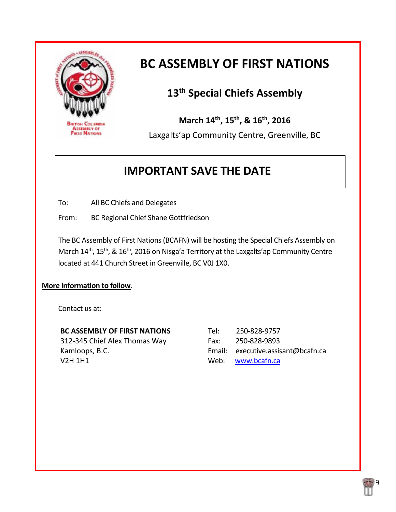

### **BC ASSEMBLY OF FIRST NATIONS**

### **13th Special Chiefs Assembly**

**March 14th, 15th, & 16th, 2016**

Laxgalts'ap Community Centre, Greenville, BC

### **IMPORTANT SAVE THE DATE**

To: All BC Chiefs and Delegates

From: BC Regional Chief Shane Gottfriedson

The BC Assembly of First Nations(BCAFN) will be hosting the Special Chiefs Assembly on March 14<sup>th</sup>, 15<sup>th</sup>, & 16<sup>th</sup>, 2016 on Nisga'a Territory at the Laxgalts'ap Community Centre located at 441 Church Street in Greenville, BC V0J 1X0.

### **More information to follow**.

Contact us at:

| <b>BC ASSEMBLY OF FIRST NATIONS</b> | Tel: | 250-828-9757                       |
|-------------------------------------|------|------------------------------------|
| 312-345 Chief Alex Thomas Way       | Fax: | 250-828-9893                       |
| Kamloops, B.C.                      |      | Email: executive.assisant@bcafn.ca |
| V2H 1H1                             |      | Web: www.bcafn.ca                  |

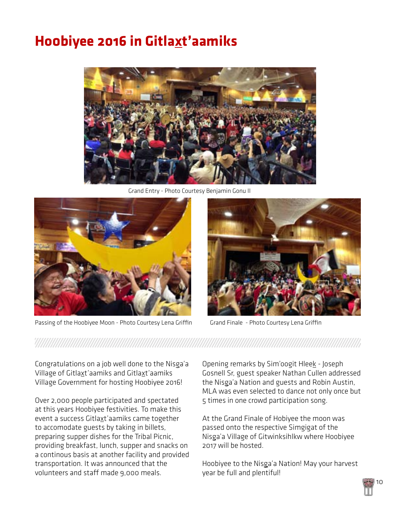## **Ho0biyee 2016 in Gitlaxt'aamiks**



Grand Entry - Photo Courtesy Benjamin Gonu II



Passing of the Hoobiyee Moon - Photo Courtesy Lena Griffin Grand Finale - Photo Courtesy Lena Griffin



Congratulations on a job well done to the Nisga'a Village of Gitlaxt'aamiks and Gitlaxt'aamiks Village Government for hosting Hoobiyee 2016!

Over 2,000 people participated and spectated at this years Hoobiyee festivities. To make this event a success Gitlaxt'aamiks came together to accomodate guests by taking in billets, preparing supper dishes for the Tribal Picnic, providing breakfast, lunch, supper and snacks on a continous basis at another facility and provided transportation. It was announced that the volunteers and staff made 9,000 meals.

Opening remarks by Sim'oogit Hleek - Joseph Gosnell Sr, guest speaker Nathan Cullen addressed the Nisga'a Nation and guests and Robin Austin, MLA was even selected to dance not only once but 5 times in one crowd participation song.

At the Grand Finale of Hobiyee the moon was passed onto the respective Simgigat of the Nisga'a Village of Gitwinksihlkw where Hoobiyee 2017 will be hosted.

Hoobiyee to the Nisga'a Nation! May your harvest year be full and plentiful!

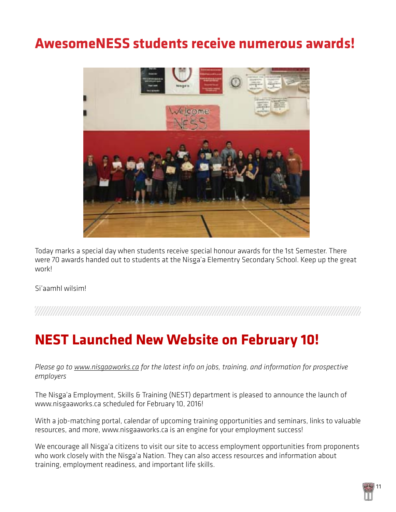## **AwesomeNESS students receive numerous awards!**



Today marks a special day when students receive special honour awards for the 1st Semester. There were 70 awards handed out to students at the Nisga'a Elementry Secondary School. Keep up the great work!

Si'aamhl wilsim!

a a shekarar wasan wasan wasan wasan wasan wasan wasan wasan wasan wasan wasan wasan wasan wasan wasan wasan w

### **NEST Launched New Website on February 10!**

*Please go to [www.nisgaaworks.ca](http://www.nisgaaworks.ca/) for the latest info on jobs, training, and information for prospective employers* 

The Nisga'a Employment, Skills & Training (NEST) department is pleased to announce the launch of [www.nisgaaworks.ca](http://www.nisgaaworks.ca/) scheduled for February 10, 2016!

With a job-matching portal, calendar of upcoming training opportunities and seminars, links to valuable resources, and more, [www.nisgaaworks.ca](http://www.nisgaaworks.ca/) is an engine for your employment success!

We encourage all Nisga'a citizens to visit our site to access employment opportunities from proponents who work closely with the Nisga'a Nation. They can also access resources and information about training, employment readiness, and important life skills.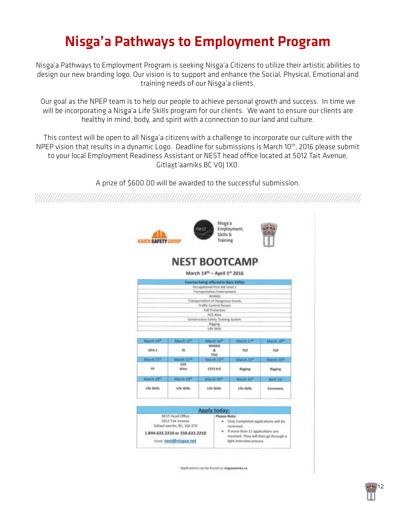# Nisga'a Pathways to Employment Program

Nisga'a Pathways to Employment Program is seeking Nisga'a Citizens to utilize their artistic abilities to design our new branding logo. Our vision is to support and enhance the Social, Physical, Emotional and training needs of our Nisga'a clients.

Our goal as the NPEP team is to help our people to achieve personal growth and success. In time we will be incorporating a Nisga'a Life Skills program for our clients. We want to ensure our clients are healthy in mind, body, and spirit with a connection to our land and culture.

This contest will be open to all Nisga'a citizens with a challenge to incorporate our culture with the NPEP vision that results in a dynamic Logo. Deadline for submissions is March 10<sup>th</sup>, 2016 please submit to your local Employment Readiness Assistant or NEST head office located at 5012 Tait Avenue, Gitlaxt'aamiks BC V0J 1X0.

A prize of \$600.00 will be awarded to the successful submission.



Applications can be found on ninganworks and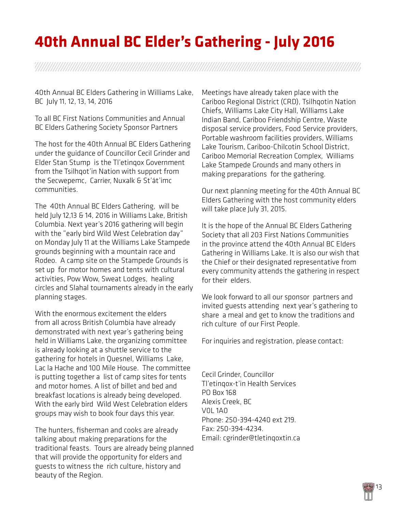# **40th Annual BC Elder's Gathering - July 2016**

a shekarar wasan wasan wasan wasan wasan wasan wasan wasan wasan wasan wasan wasan wasan wasan wasa

40th Annual BC Elders Gathering in Williams Lake, BC July 11, 12, 13, 14, 2016

To all BC First Nations Communities and Annual BC Elders Gathering Society Sponsor Partners

The host for the 40th Annual BC Elders Gathering under the guidance of Councillor Cecil Grinder and Elder Stan Stump is the Tl'etinqox Government from the Tsilhqot'in Nation with support from the Secwepemc, Carrier, Nuxalk & St'át'imc communities.

The 40th Annual BC Elders Gathering, will be held July 12,13 & 14, 2016 in Williams Lake, British Columbia. Next year's 2016 gathering will begin with the "early bird Wild West Celebration day" on Monday July 11 at the Williams Lake Stampede grounds beginning with a mountain race and Rodeo. A camp site on the Stampede Grounds is set up for motor homes and tents with cultural activities, Pow Wow, Sweat Lodges, healing circles and Slahal tournaments already in the early planning stages.

With the enormous excitement the elders from all across British Columbia have already demonstrated with next year's gathering being held in Williams Lake, the organizing committee is already looking at a shuttle service to the gathering for hotels in Quesnel, Williams Lake, Lac la Hache and 100 Mile House. The committee is putting together a list of camp sites for tents and motor homes. A list of billet and bed and breakfast locations is already being developed. With the early bird Wild West Celebration elders groups may wish to book four days this year.

The hunters, fisherman and cooks are already talking about making preparations for the traditional feasts. Tours are already being planned that will provide the opportunity for elders and guests to witness the rich culture, history and beauty of the Region.

Meetings have already taken place with the Cariboo Regional District (CRD), Tsilhqotin Nation Chiefs, Williams Lake City Hall, Williams Lake Indian Band, Cariboo Friendship Centre, Waste disposal service providers, Food Service providers, Portable washroom facilities providers, Williams Lake Tourism, Cariboo-Chilcotin School District, Cariboo Memorial Recreation Complex, Williams Lake Stampede Grounds and many others in making preparations for the gathering.

Our next planning meeting for the 40th Annual BC Elders Gathering with the host community elders will take place July 31, 2015.

It is the hope of the Annual BC Elders Gathering Society that all 203 First Nations Communities in the province attend the 40th Annual BC Elders Gathering in Williams Lake. It is also our wish that the Chief or their designated representative from every community attends the gathering in respect for their elders.

We look forward to all our sponsor partners and invited guests attending next year's gathering to share a meal and get to know the traditions and rich culture of our First People.

For inquiries and registration, please contact:

Cecil Grinder, Councillor Tl'etinqox-t'in Health Services PO Box 168 Alexis Creek, BC V0L 1A0 Phone: 250-394-4240 ext 219. Fax: 250-394-4234. Email: [cgrinder@tletinqoxtin.ca](mailto:cgrinder@tletinqoxtin.ca)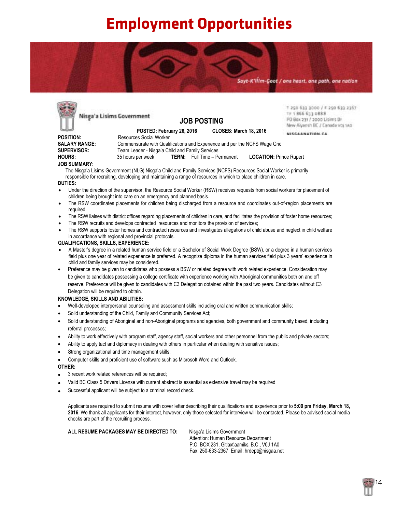# **Employment Opportunities**

Sayt-K'ilim-Goot / one heart, one path, one nation



**ALL RESUME PACKAGES MAY BE DIRECTED TO:** Nisga'a Lisims Government Attention: Human Resource Department P.O. BOX 231, Gitlaxt'aamiks, B.C., V0J 1A0

Fax: 250-633-2367 Email: hrdept@nisgaa.net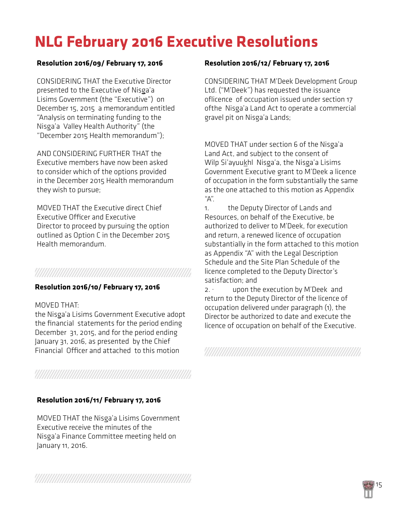# **NLG February 2016 Executive Resolutions**

### **Resolution 2016/09/ February 17, 2016**

CONSIDERING THAT the Executive Director presented to the Executive of Nisga'a Lisims Government (the "Executive") on December 15, 2015 a memorandum entitled "Analysis on terminating funding to the Nisga'a Valley Health Authority" (the "December 2015 Health memorandum");

AND CONSIDERING FURTHER THAT the Executive members have now been asked to consider which of the options provided in the December 2015 Health memorandum they wish to pursue;

MOVED THAT the Executive direct Chief Executive Officer and Executive Director to proceed by pursuing the option outlined as Option C in the December 2015 Health memorandum.

### 

#### **Resolution 2016/10/ February 17, 2016**

#### MOVED THAT:

the Nisga'a Lisims Government Executive adopt the financial statements for the period ending December 31, 2015, and for the period ending January 31, 2016, as presented by the Chief Financial Officer and attached to this motion

#### **Resolution 2016/11/ February 17, 2016**

MOVED THAT the Nisga'a Lisims Government Executive receive the minutes of the Nisga'a Finance Committee meeting held on January 11, 2016.

#### **Resolution 2016/12/ February 17, 2016**

CONSIDERING THAT M'Deek Development Group Ltd. ("M'Deek") has requested the issuance oflicence of occupation issued under section 17 ofthe Nisga'a Land Act to operate a commercial gravel pit on Nisga'a Lands;

MOVED THAT under section 6 of the Nisga'a Land Act, and subject to the consent of Wilp Si'ayuukhl Nisga'a, the Nisga'a Lisims Government Executive grant to M'Deek a licence of occupation in the form substantially the same as the one attached to this motion as Appendix "A".

1. the Deputy Director of Lands and Resources, on behalf of the Executive, be authorized to deliver to M'Deek, for execution and return, a renewed licence of occupation substantially in the form attached to this motion as Appendix "A" with the Legal Description Schedule and the Site Plan Schedule of the licence completed to the Deputy Director's satisfaction; and

2. · upon the execution by M'Deek and return to the Deputy Director of the licence of occupation delivered under paragraph (1), the Director be authorized to date and execute the licence of occupation on behalf of the Executive.